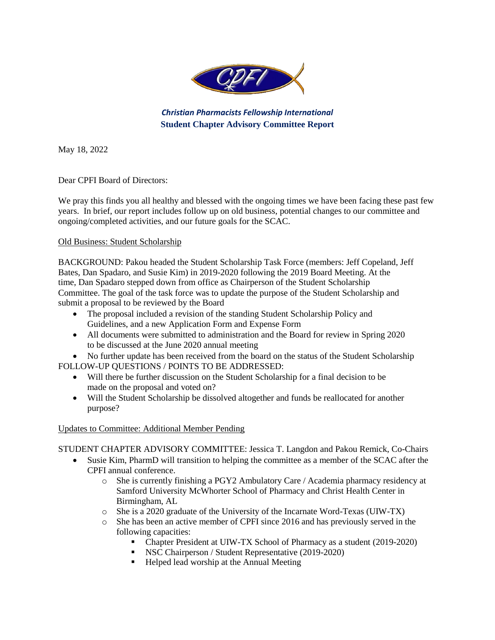

*Christian Pharmacists Fellowship International* **Student Chapter Advisory Committee Report** 

May 18, 2022

Dear CPFI Board of Directors:

We pray this finds you all healthy and blessed with the ongoing times we have been facing these past few years. In brief, our report includes follow up on old business, potential changes to our committee and ongoing/completed activities, and our future goals for the SCAC.

## Old Business: Student Scholarship

BACKGROUND: Pakou headed the Student Scholarship Task Force (members: Jeff Copeland, Jeff Bates, Dan Spadaro, and Susie Kim) in 2019-2020 following the 2019 Board Meeting. At the time, Dan Spadaro stepped down from office as Chairperson of the Student Scholarship Committee. The goal of the task force was to update the purpose of the Student Scholarship and submit a proposal to be reviewed by the Board

- The proposal included a revision of the standing Student Scholarship Policy and Guidelines, and a new Application Form and Expense Form
- All documents were submitted to administration and the Board for review in Spring 2020 to be discussed at the June 2020 annual meeting

 No further update has been received from the board on the status of the Student Scholarship FOLLOW-UP QUESTIONS / POINTS TO BE ADDRESSED:

- Will there be further discussion on the Student Scholarship for a final decision to be made on the proposal and voted on?
- Will the Student Scholarship be dissolved altogether and funds be reallocated for another purpose?

## Updates to Committee: Additional Member Pending

STUDENT CHAPTER ADVISORY COMMITTEE: Jessica T. Langdon and Pakou Remick, Co-Chairs

- Susie Kim, PharmD will transition to helping the committee as a member of the SCAC after the CPFI annual conference.
	- o She is currently finishing a PGY2 Ambulatory Care / Academia pharmacy residency at Samford University McWhorter School of Pharmacy and Christ Health Center in Birmingham, AL
	- o She is a 2020 graduate of the University of the Incarnate Word-Texas (UIW-TX)
	- o She has been an active member of CPFI since 2016 and has previously served in the following capacities:
		- Chapter President at UIW-TX School of Pharmacy as a student (2019-2020)
		- NSC Chairperson / Student Representative (2019-2020)
		- Helped lead worship at the Annual Meeting